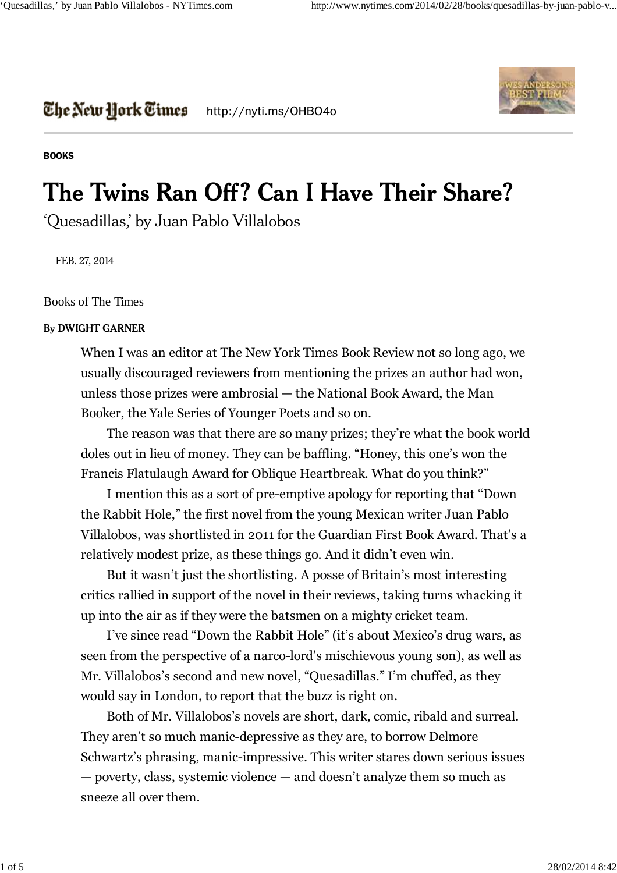

http://nyti.ms/OHBO4o

#### **BOOKS**

# The Twins Ran Off? Can I Have Their Share?

'Quesadillas,' by Juan Pablo Villalobos

FEB. 27, 2014

Books of The Times

### By DWIGHT GARNER

When I was an editor at The New York Times Book Review not so long ago, we usually discouraged reviewers from mentioning the prizes an author had won, unless those prizes were ambrosial — the National Book Award, the Man Booker, the Yale Series of Younger Poets and so on.

The reason was that there are so many prizes; they're what the book world doles out in lieu of money. They can be baffling. "Honey, this one's won the Francis Flatulaugh Award for Oblique Heartbreak. What do you think?"

I mention this as a sort of pre-emptive apology for reporting that "Down the Rabbit Hole," the first novel from the young Mexican writer Juan Pablo Villalobos, was shortlisted in 2011 for the Guardian First Book Award. That's a relatively modest prize, as these things go. And it didn't even win.

But it wasn't just the shortlisting. A posse of Britain's most interesting critics rallied in support of the novel in their reviews, taking turns whacking it up into the air as if they were the batsmen on a mighty cricket team.

I've since read "Down the Rabbit Hole" (it's about Mexico's drug wars, as seen from the perspective of a narco-lord's mischievous young son), as well as Mr. Villalobos's second and new novel, "Quesadillas." I'm chuffed, as they would say in London, to report that the buzz is right on.

Both of Mr. Villalobos's novels are short, dark, comic, ribald and surreal. They aren't so much manic-depressive as they are, to borrow Delmore Schwartz's phrasing, manic-impressive. This writer stares down serious issues — poverty, class, systemic violence — and doesn't analyze them so much as sneeze all over them.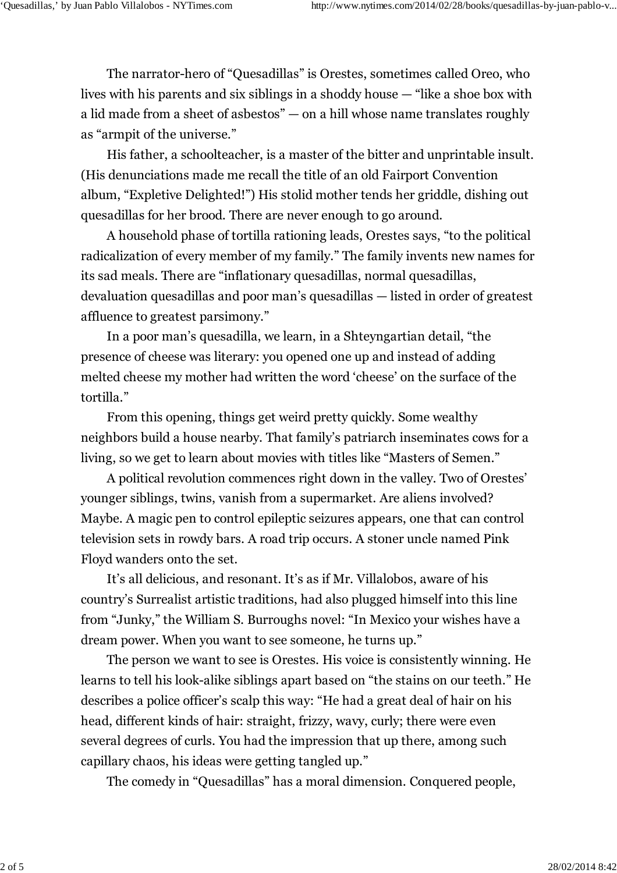The narrator-hero of "Quesadillas" is Orestes, sometimes called Oreo, who lives with his parents and six siblings in a shoddy house — "like a shoe box with a lid made from a sheet of asbestos" — on a hill whose name translates roughly as "armpit of the universe."

His father, a schoolteacher, is a master of the bitter and unprintable insult. (His denunciations made me recall the title of an old Fairport Convention album, "Expletive Delighted!") His stolid mother tends her griddle, dishing out quesadillas for her brood. There are never enough to go around.

A household phase of tortilla rationing leads, Orestes says, "to the political radicalization of every member of my family." The family invents new names for its sad meals. There are "inflationary quesadillas, normal quesadillas, devaluation quesadillas and poor man's quesadillas — listed in order of greatest affluence to greatest parsimony."

In a poor man's quesadilla, we learn, in a Shteyngartian detail, "the presence of cheese was literary: you opened one up and instead of adding melted cheese my mother had written the word 'cheese' on the surface of the tortilla."

From this opening, things get weird pretty quickly. Some wealthy neighbors build a house nearby. That family's patriarch inseminates cows for a living, so we get to learn about movies with titles like "Masters of Semen."

A political revolution commences right down in the valley. Two of Orestes' younger siblings, twins, vanish from a supermarket. Are aliens involved? Maybe. A magic pen to control epileptic seizures appears, one that can control television sets in rowdy bars. A road trip occurs. A stoner uncle named Pink Floyd wanders onto the set.

It's all delicious, and resonant. It's as if Mr. Villalobos, aware of his country's Surrealist artistic traditions, had also plugged himself into this line from "Junky," the William S. Burroughs novel: "In Mexico your wishes have a dream power. When you want to see someone, he turns up."

The person we want to see is Orestes. His voice is consistently winning. He learns to tell his look-alike siblings apart based on "the stains on our teeth." He describes a police officer's scalp this way: "He had a great deal of hair on his head, different kinds of hair: straight, frizzy, wavy, curly; there were even several degrees of curls. You had the impression that up there, among such capillary chaos, his ideas were getting tangled up."

The comedy in "Quesadillas" has a moral dimension. Conquered people,